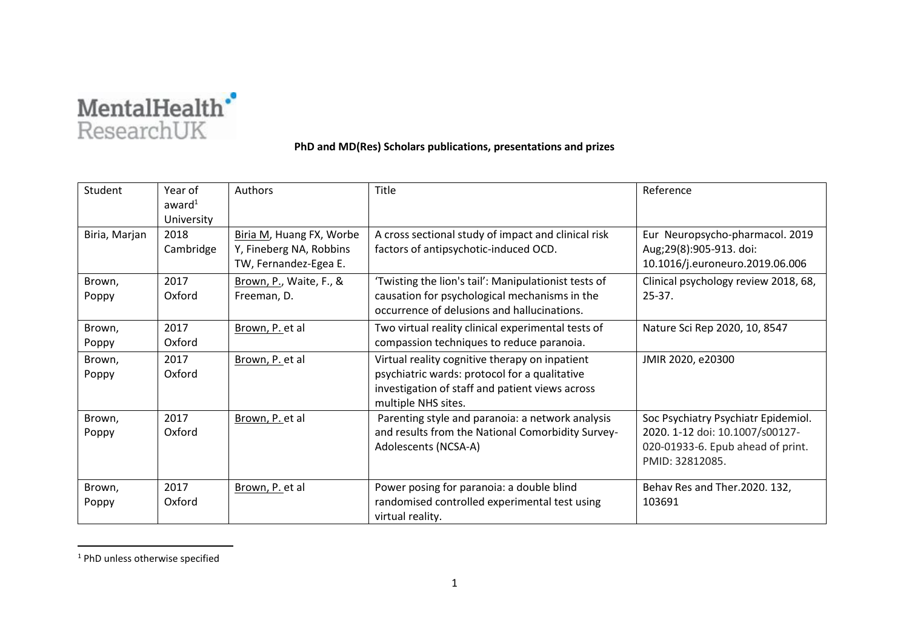

## **PhD and MD(Res) Scholars publications, presentations and prizes**

| Student         | Year of<br>award <sup>1</sup><br>University | Authors                                                                      | Title                                                                                                                                                                     | Reference                                                                                                                      |
|-----------------|---------------------------------------------|------------------------------------------------------------------------------|---------------------------------------------------------------------------------------------------------------------------------------------------------------------------|--------------------------------------------------------------------------------------------------------------------------------|
| Biria, Marjan   | 2018<br>Cambridge                           | Biria M, Huang FX, Worbe<br>Y, Fineberg NA, Robbins<br>TW, Fernandez-Egea E. | A cross sectional study of impact and clinical risk<br>factors of antipsychotic-induced OCD.                                                                              | Eur Neuropsycho-pharmacol. 2019<br>Aug;29(8):905-913. doi:<br>10.1016/j.euroneuro.2019.06.006                                  |
| Brown,<br>Poppy | 2017<br>Oxford                              | Brown, P., Waite, F., &<br>Freeman, D.                                       | 'Twisting the lion's tail': Manipulationist tests of<br>causation for psychological mechanisms in the<br>occurrence of delusions and hallucinations.                      | Clinical psychology review 2018, 68,<br>$25-37.$                                                                               |
| Brown,<br>Poppy | 2017<br>Oxford                              | Brown, P. et al                                                              | Two virtual reality clinical experimental tests of<br>compassion techniques to reduce paranoia.                                                                           | Nature Sci Rep 2020, 10, 8547                                                                                                  |
| Brown,<br>Poppy | 2017<br>Oxford                              | Brown, P. et al                                                              | Virtual reality cognitive therapy on inpatient<br>psychiatric wards: protocol for a qualitative<br>investigation of staff and patient views across<br>multiple NHS sites. | JMIR 2020, e20300                                                                                                              |
| Brown,<br>Poppy | 2017<br>Oxford                              | Brown, P. et al                                                              | Parenting style and paranoia: a network analysis<br>and results from the National Comorbidity Survey-<br>Adolescents (NCSA-A)                                             | Soc Psychiatry Psychiatr Epidemiol.<br>2020. 1-12 doi: 10.1007/s00127-<br>020-01933-6. Epub ahead of print.<br>PMID: 32812085. |
| Brown,<br>Poppy | 2017<br>Oxford                              | Brown, P. et al                                                              | Power posing for paranoia: a double blind<br>randomised controlled experimental test using<br>virtual reality.                                                            | Behav Res and Ther.2020. 132,<br>103691                                                                                        |

<sup>&</sup>lt;sup>1</sup> PhD unless otherwise specified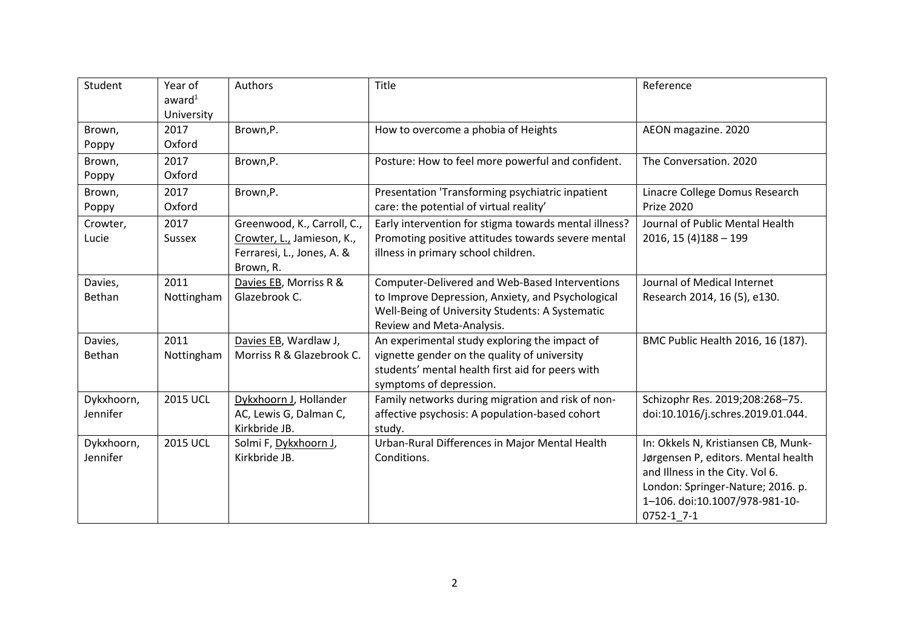| Student                | Year of<br>award <sup>1</sup><br>University | Authors                                                                                              | Title                                                                                                                                                                               | Reference                                                                                                                                                                                          |
|------------------------|---------------------------------------------|------------------------------------------------------------------------------------------------------|-------------------------------------------------------------------------------------------------------------------------------------------------------------------------------------|----------------------------------------------------------------------------------------------------------------------------------------------------------------------------------------------------|
| Brown,<br>Poppy        | 2017<br>Oxford                              | Brown, P.                                                                                            | How to overcome a phobia of Heights                                                                                                                                                 | AEON magazine. 2020                                                                                                                                                                                |
| Brown,<br>Poppy        | 2017<br>Oxford                              | Brown,P.                                                                                             | Posture: How to feel more powerful and confident.                                                                                                                                   | The Conversation. 2020                                                                                                                                                                             |
| Brown,<br>Poppy        | 2017<br>Oxford                              | Brown, P.                                                                                            | Presentation 'Transforming psychiatric inpatient<br>care: the potential of virtual reality'                                                                                         | Linacre College Domus Research<br><b>Prize 2020</b>                                                                                                                                                |
| Crowter,<br>Lucie      | 2017<br>Sussex                              | Greenwood, K., Carroll, C.,<br>Crowter, L., Jamieson, K.,<br>Ferraresi, L., Jones, A. &<br>Brown, R. | Early intervention for stigma towards mental illness?<br>Promoting positive attitudes towards severe mental<br>illness in primary school children.                                  | Journal of Public Mental Health<br>$2016, 15(4)188 - 199$                                                                                                                                          |
| Davies,<br>Bethan      | 2011<br>Nottingham                          | Davies EB, Morriss R &<br>Glazebrook C.                                                              | Computer-Delivered and Web-Based Interventions<br>to Improve Depression, Anxiety, and Psychological<br>Well-Being of University Students: A Systematic<br>Review and Meta-Analysis. | Journal of Medical Internet<br>Research 2014, 16 (5), e130.                                                                                                                                        |
| Davies,<br>Bethan      | 2011<br>Nottingham                          | Davies EB, Wardlaw J,<br>Morriss R & Glazebrook C.                                                   | An experimental study exploring the impact of<br>vignette gender on the quality of university<br>students' mental health first aid for peers with<br>symptoms of depression.        | BMC Public Health 2016, 16 (187).                                                                                                                                                                  |
| Dykxhoorn,<br>Jennifer | <b>2015 UCL</b>                             | Dykxhoorn J, Hollander<br>AC, Lewis G, Dalman C,<br>Kirkbride JB.                                    | Family networks during migration and risk of non-<br>affective psychosis: A population-based cohort<br>study.                                                                       | Schizophr Res. 2019;208:268-75.<br>doi:10.1016/j.schres.2019.01.044.                                                                                                                               |
| Dykxhoorn,<br>Jennifer | <b>2015 UCL</b>                             | Solmi F, Dykxhoorn J,<br>Kirkbride JB.                                                               | Urban-Rural Differences in Major Mental Health<br>Conditions.                                                                                                                       | In: Okkels N, Kristiansen CB, Munk-<br>Jørgensen P, editors. Mental health<br>and Illness in the City. Vol 6.<br>London: Springer-Nature; 2016. p.<br>1-106. doi:10.1007/978-981-10-<br>0752-1 7-1 |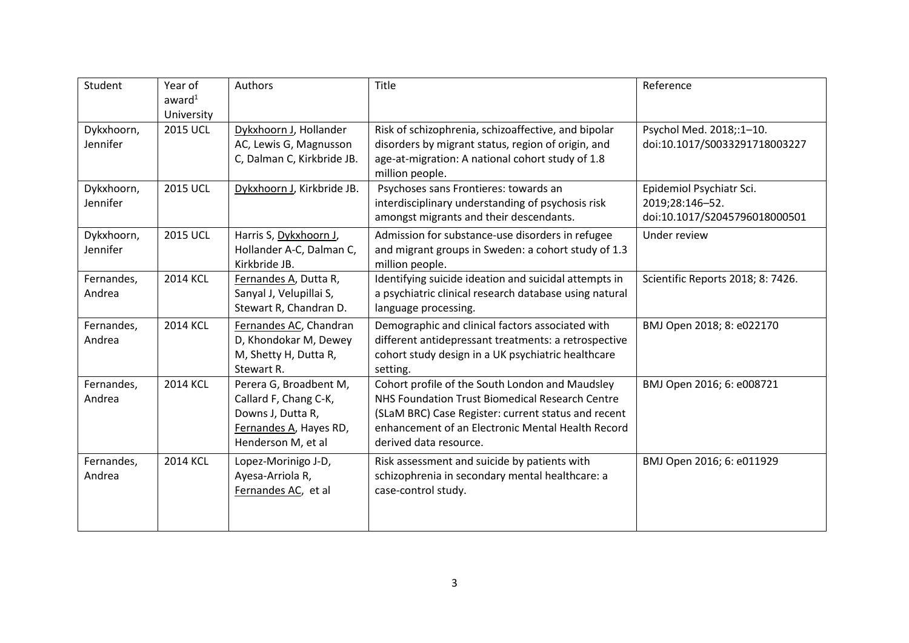| Student                | Year of<br>award <sup>1</sup><br>University | Authors                                                                                                              | Title                                                                                                                                                                                                                                    | Reference                                                                    |
|------------------------|---------------------------------------------|----------------------------------------------------------------------------------------------------------------------|------------------------------------------------------------------------------------------------------------------------------------------------------------------------------------------------------------------------------------------|------------------------------------------------------------------------------|
| Dykxhoorn,<br>Jennifer | <b>2015 UCL</b>                             | Dykxhoorn J, Hollander<br>AC, Lewis G, Magnusson<br>C, Dalman C, Kirkbride JB.                                       | Risk of schizophrenia, schizoaffective, and bipolar<br>disorders by migrant status, region of origin, and<br>age-at-migration: A national cohort study of 1.8<br>million people.                                                         | Psychol Med. 2018;:1-10.<br>doi:10.1017/S0033291718003227                    |
| Dykxhoorn,<br>Jennifer | <b>2015 UCL</b>                             | Dykxhoorn J, Kirkbride JB.                                                                                           | Psychoses sans Frontieres: towards an<br>interdisciplinary understanding of psychosis risk<br>amongst migrants and their descendants.                                                                                                    | Epidemiol Psychiatr Sci.<br>2019;28:146-52.<br>doi:10.1017/S2045796018000501 |
| Dykxhoorn,<br>Jennifer | <b>2015 UCL</b>                             | Harris S, Dykxhoorn J,<br>Hollander A-C, Dalman C,<br>Kirkbride JB.                                                  | Admission for substance-use disorders in refugee<br>and migrant groups in Sweden: a cohort study of 1.3<br>million people.                                                                                                               | Under review                                                                 |
| Fernandes,<br>Andrea   | <b>2014 KCL</b>                             | Fernandes A, Dutta R,<br>Sanyal J, Velupillai S,<br>Stewart R, Chandran D.                                           | Identifying suicide ideation and suicidal attempts in<br>a psychiatric clinical research database using natural<br>language processing.                                                                                                  | Scientific Reports 2018; 8: 7426.                                            |
| Fernandes,<br>Andrea   | <b>2014 KCL</b>                             | Fernandes AC, Chandran<br>D, Khondokar M, Dewey<br>M, Shetty H, Dutta R,<br>Stewart R.                               | Demographic and clinical factors associated with<br>different antidepressant treatments: a retrospective<br>cohort study design in a UK psychiatric healthcare<br>setting.                                                               | BMJ Open 2018; 8: e022170                                                    |
| Fernandes,<br>Andrea   | <b>2014 KCL</b>                             | Perera G, Broadbent M,<br>Callard F, Chang C-K,<br>Downs J, Dutta R,<br>Fernandes A, Hayes RD,<br>Henderson M, et al | Cohort profile of the South London and Maudsley<br>NHS Foundation Trust Biomedical Research Centre<br>(SLaM BRC) Case Register: current status and recent<br>enhancement of an Electronic Mental Health Record<br>derived data resource. | BMJ Open 2016; 6: e008721                                                    |
| Fernandes,<br>Andrea   | <b>2014 KCL</b>                             | Lopez-Morinigo J-D,<br>Ayesa-Arriola R,<br>Fernandes AC, et al                                                       | Risk assessment and suicide by patients with<br>schizophrenia in secondary mental healthcare: a<br>case-control study.                                                                                                                   | BMJ Open 2016; 6: e011929                                                    |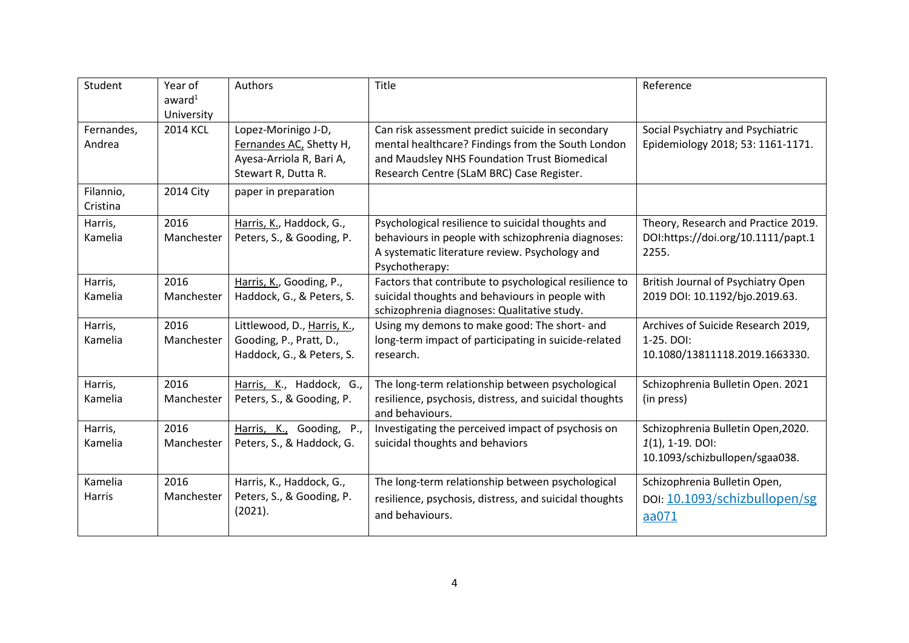| Student                  | Year of<br>award <sup>1</sup><br>University | Authors                                                                                           | Title                                                                                                                                                                                              | Reference                                                                                   |
|--------------------------|---------------------------------------------|---------------------------------------------------------------------------------------------------|----------------------------------------------------------------------------------------------------------------------------------------------------------------------------------------------------|---------------------------------------------------------------------------------------------|
| Fernandes,<br>Andrea     | <b>2014 KCL</b>                             | Lopez-Morinigo J-D,<br>Fernandes AC, Shetty H,<br>Ayesa-Arriola R, Bari A,<br>Stewart R, Dutta R. | Can risk assessment predict suicide in secondary<br>mental healthcare? Findings from the South London<br>and Maudsley NHS Foundation Trust Biomedical<br>Research Centre (SLaM BRC) Case Register. | Social Psychiatry and Psychiatric<br>Epidemiology 2018; 53: 1161-1171.                      |
| Filannio,<br>Cristina    | 2014 City                                   | paper in preparation                                                                              |                                                                                                                                                                                                    |                                                                                             |
| Harris,<br>Kamelia       | 2016<br>Manchester                          | Harris, K., Haddock, G.,<br>Peters, S., & Gooding, P.                                             | Psychological resilience to suicidal thoughts and<br>behaviours in people with schizophrenia diagnoses:<br>A systematic literature review. Psychology and<br>Psychotherapy:                        | Theory, Research and Practice 2019.<br>DOI:https://doi.org/10.1111/papt.1<br>2255.          |
| Harris,<br>Kamelia       | 2016<br>Manchester                          | Harris, K., Gooding, P.,<br>Haddock, G., & Peters, S.                                             | Factors that contribute to psychological resilience to<br>suicidal thoughts and behaviours in people with<br>schizophrenia diagnoses: Qualitative study.                                           | British Journal of Psychiatry Open<br>2019 DOI: 10.1192/bjo.2019.63.                        |
| Harris,<br>Kamelia       | 2016<br>Manchester                          | Littlewood, D., Harris, K.,<br>Gooding, P., Pratt, D.,<br>Haddock, G., & Peters, S.               | Using my demons to make good: The short- and<br>long-term impact of participating in suicide-related<br>research.                                                                                  | Archives of Suicide Research 2019,<br>1-25, DOI:<br>10.1080/13811118.2019.1663330.          |
| Harris,<br>Kamelia       | 2016<br>Manchester                          | Harris, K., Haddock, G.,<br>Peters, S., & Gooding, P.                                             | The long-term relationship between psychological<br>resilience, psychosis, distress, and suicidal thoughts<br>and behaviours.                                                                      | Schizophrenia Bulletin Open. 2021<br>(in press)                                             |
| Harris,<br>Kamelia       | 2016<br>Manchester                          | Harris, K., Gooding, P.,<br>Peters, S., & Haddock, G.                                             | Investigating the perceived impact of psychosis on<br>suicidal thoughts and behaviors                                                                                                              | Schizophrenia Bulletin Open, 2020.<br>$1(1)$ , 1-19. DOI:<br>10.1093/schizbullopen/sgaa038. |
| Kamelia<br><b>Harris</b> | 2016<br>Manchester                          | Harris, K., Haddock, G.,<br>Peters, S., & Gooding, P.<br>(2021).                                  | The long-term relationship between psychological<br>resilience, psychosis, distress, and suicidal thoughts<br>and behaviours.                                                                      | Schizophrenia Bulletin Open,<br>DOI: 10.1093/schizbullopen/sg<br>aa071                      |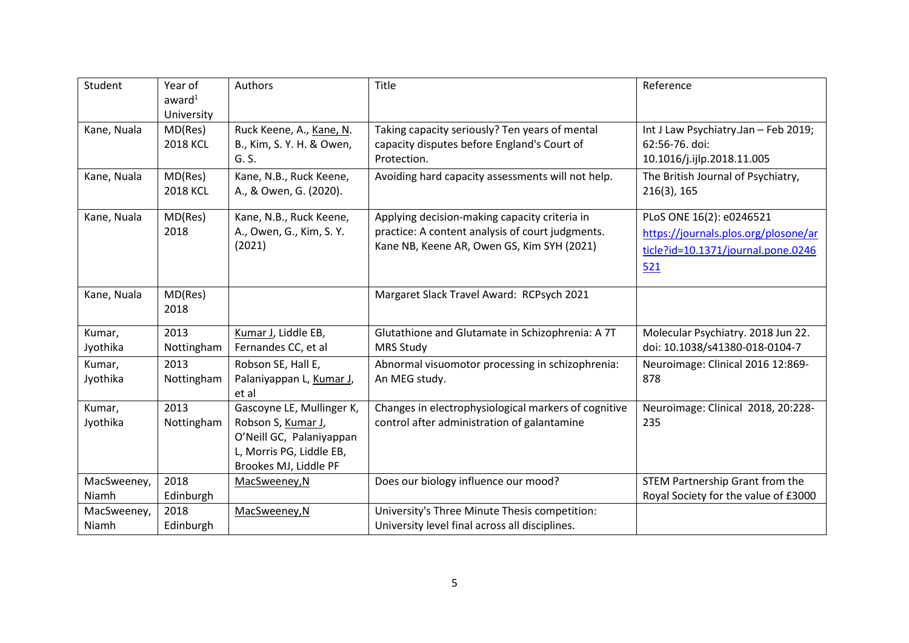| Student              | Year of<br>award <sup>1</sup><br>University | Authors                                                                                                                          | Title                                                                                                                                           | Reference                                                                                                     |
|----------------------|---------------------------------------------|----------------------------------------------------------------------------------------------------------------------------------|-------------------------------------------------------------------------------------------------------------------------------------------------|---------------------------------------------------------------------------------------------------------------|
| Kane, Nuala          | MD(Res)<br><b>2018 KCL</b>                  | Ruck Keene, A., Kane, N.<br>B., Kim, S. Y. H. & Owen,<br>G. S.                                                                   | Taking capacity seriously? Ten years of mental<br>capacity disputes before England's Court of<br>Protection.                                    | Int J Law Psychiatry.Jan - Feb 2019;<br>62:56-76. doi:<br>10.1016/j.ijlp.2018.11.005                          |
| Kane, Nuala          | MD(Res)<br><b>2018 KCL</b>                  | Kane, N.B., Ruck Keene,<br>A., & Owen, G. (2020).                                                                                | Avoiding hard capacity assessments will not help.                                                                                               | The British Journal of Psychiatry,<br>$216(3)$ , 165                                                          |
| Kane, Nuala          | MD(Res)<br>2018                             | Kane, N.B., Ruck Keene,<br>A., Owen, G., Kim, S. Y.<br>(2021)                                                                    | Applying decision-making capacity criteria in<br>practice: A content analysis of court judgments.<br>Kane NB, Keene AR, Owen GS, Kim SYH (2021) | PLoS ONE 16(2): e0246521<br>https://journals.plos.org/plosone/ar<br>ticle?id=10.1371/journal.pone.0246<br>521 |
| Kane, Nuala          | MD(Res)<br>2018                             |                                                                                                                                  | Margaret Slack Travel Award: RCPsych 2021                                                                                                       |                                                                                                               |
| Kumar,<br>Jyothika   | 2013<br>Nottingham                          | Kumar J, Liddle EB,<br>Fernandes CC, et al                                                                                       | Glutathione and Glutamate in Schizophrenia: A 7T<br><b>MRS Study</b>                                                                            | Molecular Psychiatry. 2018 Jun 22.<br>doi: 10.1038/s41380-018-0104-7                                          |
| Kumar,<br>Jyothika   | 2013<br>Nottingham                          | Robson SE, Hall E,<br>Palaniyappan L, Kumar J,<br>et al                                                                          | Abnormal visuomotor processing in schizophrenia:<br>An MEG study.                                                                               | Neuroimage: Clinical 2016 12:869-<br>878                                                                      |
| Kumar,<br>Jyothika   | 2013<br>Nottingham                          | Gascoyne LE, Mullinger K,<br>Robson S, Kumar J,<br>O'Neill GC, Palaniyappan<br>L, Morris PG, Liddle EB,<br>Brookes MJ, Liddle PF | Changes in electrophysiological markers of cognitive<br>control after administration of galantamine                                             | Neuroimage: Clinical 2018, 20:228-<br>235                                                                     |
| MacSweeney,<br>Niamh | 2018<br>Edinburgh                           | MacSweeney, N                                                                                                                    | Does our biology influence our mood?                                                                                                            | STEM Partnership Grant from the<br>Royal Society for the value of £3000                                       |
| MacSweeney,<br>Niamh | 2018<br>Edinburgh                           | MacSweeney, N                                                                                                                    | University's Three Minute Thesis competition:<br>University level final across all disciplines.                                                 |                                                                                                               |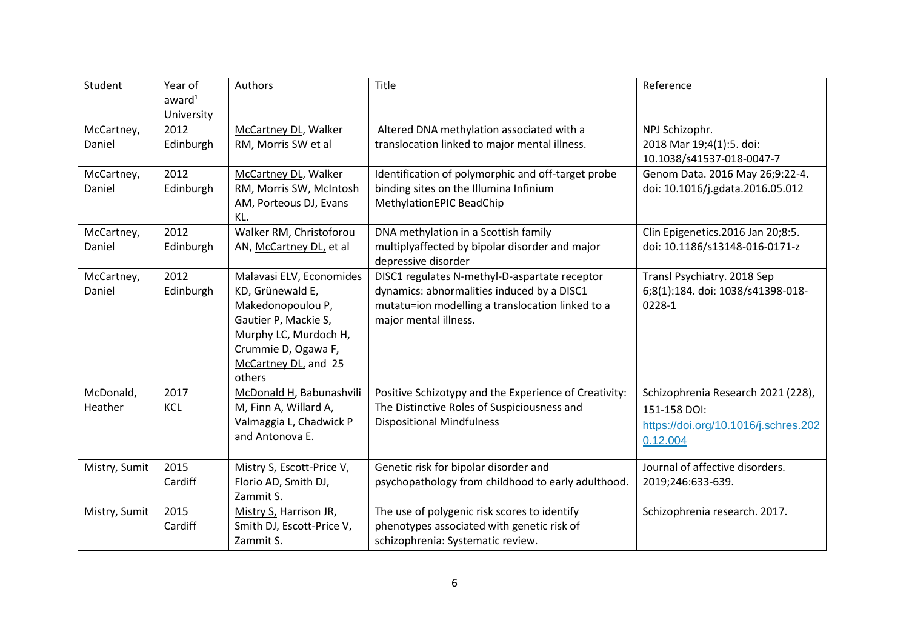| Student              | Year of<br>award <sup>1</sup><br>University | Authors                                                                                                                                                                     | Title                                                                                                                                                                    | Reference                                                                                              |
|----------------------|---------------------------------------------|-----------------------------------------------------------------------------------------------------------------------------------------------------------------------------|--------------------------------------------------------------------------------------------------------------------------------------------------------------------------|--------------------------------------------------------------------------------------------------------|
| McCartney,<br>Daniel | 2012<br>Edinburgh                           | McCartney DL, Walker<br>RM, Morris SW et al                                                                                                                                 | Altered DNA methylation associated with a<br>translocation linked to major mental illness.                                                                               | NPJ Schizophr.<br>2018 Mar 19;4(1):5. doi:<br>10.1038/s41537-018-0047-7                                |
| McCartney,<br>Daniel | 2012<br>Edinburgh                           | McCartney DL, Walker<br>RM, Morris SW, McIntosh<br>AM, Porteous DJ, Evans<br>KL.                                                                                            | Identification of polymorphic and off-target probe<br>binding sites on the Illumina Infinium<br>MethylationEPIC BeadChip                                                 | Genom Data. 2016 May 26;9:22-4.<br>doi: 10.1016/j.gdata.2016.05.012                                    |
| McCartney,<br>Daniel | 2012<br>Edinburgh                           | Walker RM, Christoforou<br>AN, McCartney DL, et al                                                                                                                          | DNA methylation in a Scottish family<br>multiplyaffected by bipolar disorder and major<br>depressive disorder                                                            | Clin Epigenetics.2016 Jan 20;8:5.<br>doi: 10.1186/s13148-016-0171-z                                    |
| McCartney,<br>Daniel | 2012<br>Edinburgh                           | Malavasi ELV, Economides<br>KD, Grünewald E,<br>Makedonopoulou P,<br>Gautier P, Mackie S,<br>Murphy LC, Murdoch H,<br>Crummie D, Ogawa F,<br>McCartney DL, and 25<br>others | DISC1 regulates N-methyl-D-aspartate receptor<br>dynamics: abnormalities induced by a DISC1<br>mutatu=ion modelling a translocation linked to a<br>major mental illness. | Transl Psychiatry. 2018 Sep<br>6;8(1):184. doi: 1038/s41398-018-<br>0228-1                             |
| McDonald,<br>Heather | 2017<br>KCL                                 | McDonald H, Babunashvili<br>M, Finn A, Willard A,<br>Valmaggia L, Chadwick P<br>and Antonova E.                                                                             | Positive Schizotypy and the Experience of Creativity:<br>The Distinctive Roles of Suspiciousness and<br><b>Dispositional Mindfulness</b>                                 | Schizophrenia Research 2021 (228),<br>151-158 DOI:<br>https://doi.org/10.1016/j.schres.202<br>0.12.004 |
| Mistry, Sumit        | 2015<br>Cardiff                             | Mistry S, Escott-Price V,<br>Florio AD, Smith DJ,<br>Zammit S.                                                                                                              | Genetic risk for bipolar disorder and<br>psychopathology from childhood to early adulthood.                                                                              | Journal of affective disorders.<br>2019;246:633-639.                                                   |
| Mistry, Sumit        | 2015<br>Cardiff                             | Mistry S, Harrison JR,<br>Smith DJ, Escott-Price V,<br>Zammit S.                                                                                                            | The use of polygenic risk scores to identify<br>phenotypes associated with genetic risk of<br>schizophrenia: Systematic review.                                          | Schizophrenia research. 2017.                                                                          |